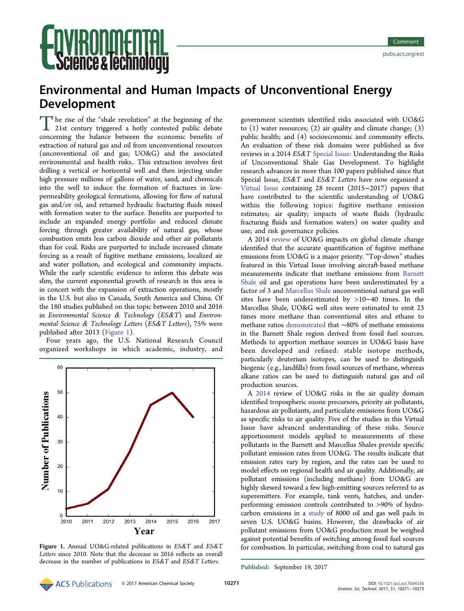# Environmental and Human Impacts of Unconventional Energy Development

The rise of the "shale revolution" at the beginning of the 21st century triggered a hotly contested public debate concerning the balance between the economic benefits of extraction of natural gas and oil from unconventional resources (unconventional oil and gas; UO&G) and the associated environmental and health risks.. This extraction involves first drilling a vertical or horizontal well and then injecting under high pressure millions of gallons of water, sand, and chemicals into the well to induce the formation of fractures in lowpermeability geological formations, allowing for flow of natural gas and/or oil, and returned hydraulic fracturing fluids mixed with formation water to the surface. Benefits are purported to include an expanded energy portfolio and reduced climate forcing through greater availability of natural gas, whose combustion emits less carbon dioxide and other air pollutants than for coal. Risks are purported to include increased climate forcing as a result of fugitive methane emissions, localized air and water pollution, and ecological and community impacts. While the early scientific evidence to inform this debate was slim, the current exponential growth of research in this area is in concert with the expansion of extraction operations, mostly in the U.S. but also in Canada, South America and China. Of the 180 studies published on this topic between 2010 and 2016 in Environmental Science  $\&$  Technology (ES&T) and Environmental Science & Technology Letters (ES&T Letters), 75% were published after 2013 (Figure 1).

Four years ago, the U.S. National Research Council organized workshops in which academic, industry, and



Figure 1. Annual UO&G-related publications in ES&T and ES&T Letters since 2010. Note that the decrease in 2016 reflects an overall decrease in the number of publications in ES&T and ES&T Letters.

government scientists identified risks associated with UO&G to  $(1)$  water resources;  $(2)$  air quality and climate change;  $(3)$ public health; and (4) socioeconomic and community effects. An evaluation of these risk domains were published as five reviews in a 2014 ES&T [Special Issue:](http://pubs.acs.org/toc/esthag/48/15) Understanding the Risks of Unconventional Shale Gas Development. To highlight research advances in more than 100 papers published since that Special Issue, ES&T and ES&T Letters have now organized a [Virtual Issue](http://pubs.acs.org/page/vi/impacts-of-unconventional-energy-development.html) containing 28 recent (2015−2017) papers that have contributed to the scientific understanding of UO&G within the following topics: fugitive methane emission estimates; air quality; impacts of waste fluids (hydraulic fracturing fluids and formation waters) on water quality and use; and risk governance policies.

A 2014 [review](http://pubs.acs.org/doi/10.1021/es4053472) of UO&G impacts on global climate change identified that the accurate quantification of fugitive methane emissions from UO&G is a major priority. "Top-down" studies featured in this Virtual Issue involving aircraft-based methane measurements indicate that methane emissions from [Barnett](http://pubs.acs.org/doi/abs/10.1021/acs.est.5b00217) [Shale](http://pubs.acs.org/doi/abs/10.1021/acs.est.5b00217) oil and gas operations have been underestimated by a factor of 3 and [Marcellus Shale](http://pubs.acs.org/doi/abs/10.1021/acs.est.5b05503) unconventional natural gas well sites have been underestimated by >10−40 times. In the Marcellus Shale, UO&G well sites were estimated to emit 23 times more methane than conventional sites and ethane to methane ratios [demonstrated](http://pubs.acs.org/doi/abs/10.1021/acs.est.5b00219) that ∼80% of methane emissions in the Barnett Shale region derived from fossil fuel sources. Methods to apportion methane sources in UO&G basis have been developed and refined: stable isotope methods, particularly deuterium isotopes, can be used to distinguish biogenic (e.g., landfills) from fossil sources of methane, whereas alkane ratios can be used to distinguish natural gas and oil production sources.

A [2014](http://pubs.acs.org/doi/pdf/10.1021/es4053472) review of UO&G risks in the air quality domain identified tropospheric ozone precursors, priority air pollutants, hazardous air pollutants, and particulate emissions from UO&G as specific risks to air quality. Five of the studies in this Virtual Issue have advanced understanding of these risks. Source apportionment models applied to measurements of these pollutants in the Barnett and Marcellus Shales provide specific pollutant emission rates from UO&G. The results indicate that emission rates vary by region, and the rates can be used to model effects on regional health and air quality. Additionally, air pollutant emissions (including methane) from UO&G are highly skewed toward a few high-emitting sources referred to as superemitters. For example, tank vents, hatches, and underperforming emission controls contributed to >90% of hydrocarbon emissions in a [study](http://pubs.acs.org/doi/abs/10.1021/acs.est.6b00705) of 8000 oil and gas well pads in seven U.S. UO&G basins. However, the drawbacks of air pollutant emissions from UO&G production must be weighed against potential benefits of switching among fossil fuel sources for combustion. In particular, switching from coal to natural gas

Published: September 19, 2017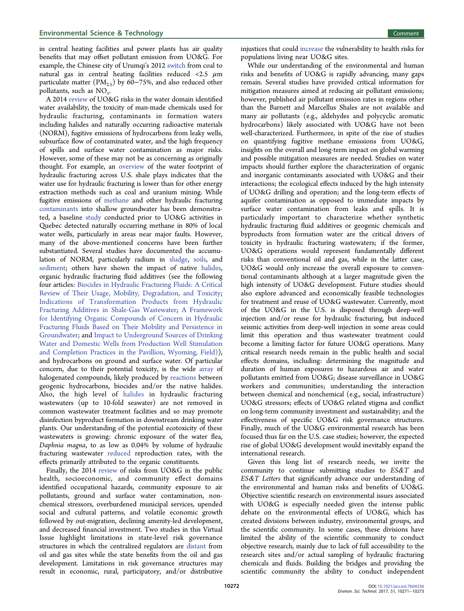in central heating facilities and power plants has air quality benefits that may offset pollutant emission from UO&G. For example, the Chinese city of Urumqi's 2012 [switch](http://pubs.acs.org/doi/abs/10.1021/es5050024) from coal to natural gas in central heating facilities reduced <2.5  $\mu$ m particulate matter ( $\text{PM}_{2.5}$ ) by 60–75%, and also reduced other pollutants, such as NO<sub>x</sub>.

A 2014 [review](http://pubs.acs.org/doi/pdf/10.1) of UO&G risks in the water domain identified water availability, the toxicity of man-made chemicals used for hydraulic fracturing, contaminants in formation waters including halides and naturally occurring radioactive materials (NORM), fugitive emissions of hydrocarbons from leaky wells, subsurface flow of contaminated water, and the high frequency of spills and surface water contamination as major risks. However, some of these may not be as concerning as originally thought. For example, an [overview](http://pubs.acs.org/doi/abs/10.1021/acs.estlett.5b00211) of the water footprint of hydraulic fracturing across U.S. shale plays indicates that the water use for hydraulic fracturing is lower than for other energy extraction methods such as coal and uranium mining. While fugitive emissions of [methane](http://pubs.acs.org/doi/abs/10.1021/es503882b) and other hydraulic fracturing [contaminants](http://pubs.acs.org/doi/abs/10.1021/acs.est.5b04970) into shallow groundwater has been demonstrated, a baseline [study](http://pubs.acs.org/doi/abs/10.1021/acs.est.5b00443) conducted prior to UO&G activities in Quebec detected naturally occurring methane in 80% of local water wells, particularly in areas near major faults. However, many of the above-mentioned concerns have been further substantiated. Several studies have documented the accumulation of NORM, particularly radium in [sludge,](http://pubs.acs.org/doi/abs/10.1021/acs.est.5b01393) [soils,](http://pubs.acs.org/doi/abs/10.1021/acs.est.5b06349) and [sediment;](http://pubs.acs.org/doi/abs/10.1021/acs.est.7b01696) others have shown the impact of native [halides,](http://pubs.acs.org/doi/abs/10.1021/es504654n) organic hydraulic fracturing fluid additives (see the following four articles: [Biocides in Hydraulic Fracturing Fluids: A Critical](http://pubs.acs.org/doi/abs/10.1021/es503724k) [Review of Their Usage, Mobility, Degradation, and Toxicity;](http://pubs.acs.org/doi/abs/10.1021/es503724k) [Indications of Transformation Products from Hydraulic](http://pubs.acs.org/doi/abs/10.1021/acs.est.6b00430) [Fracturing Additives in Shale-Gas Wastewater](http://pubs.acs.org/doi/abs/10.1021/acs.est.6b00430); [A Framework](http://pubs.acs.org/doi/abs/10.1021/acs.estlett.5b00090) [for Identifying Organic Compounds of Concern in Hydraulic](http://pubs.acs.org/doi/abs/10.1021/acs.estlett.5b00090) [Fracturing Fluids Based on Their Mobility and Persistence in](http://pubs.acs.org/doi/abs/10.1021/acs.estlett.5b00090) [Groundwater;](http://pubs.acs.org/doi/abs/10.1021/acs.estlett.5b00090) and [Impact to Underground Sources of Drinking](http://pubs.acs.org/doi/abs/10.1021/acs.est.5b04970) [Water and Domestic Wells from Production Well Stimulation](http://pubs.acs.org/doi/abs/10.1021/acs.est.5b04970) [and Completion Practices in the Pavillion, Wyoming, Field\)\)](http://pubs.acs.org/doi/abs/10.1021/acs.est.5b04970), and hydrocarbons on ground and surface water. Of particular concern, due to their potential toxicity, is the wide [array](http://pubs.acs.org/doi/abs/10.1021/acs.est.6b06213) of halogenated compounds, likely produced by [reactions](http://pubs.acs.org/doi/abs/10.1021/acs.est.6b00430) between geogenic hydrocarbons, biocides and/or the native halides. Also, the high level of [halides](http://pubs.acs.org/doi/abs/10.1021/es504654n) in hydraulic fracturing wastewaters (up to 10-fold seawater) are not removed in common wastewater treatment facilities and so may promote disinfection byproduct formation in downstream drinking water plants. Our understanding of the potential ecotoxicity of these wastewaters is growing: chronic exposure of the water flea, Daphnia magna, to as low as 0.04% by volume of hydraulic fracturing wastewater [reduced](http://pubs.acs.org/doi/abs/10.1021/acs.est.6b05179) reproduction rates, with the effects primarily attributed to the organic constituents.

Finally, the 2014 [review](http://pubs.acs.org/doi/10.1021/es404621d) of risks from UO&G in the public health, socioeconomic, and community effect domains identified occupational hazards, community exposure to air pollutants, ground and surface water contamination, nonchemical stressors, overburdened municipal services, upended social and cultural patterns, and volatile economic growth followed by out-migration, declining amenity-led development, and decreased financial investment. Two studies in this Virtual Issue highlight limitations in state-level risk governance structures in which the centralized regulators are [distant](http://pubs.acs.org/doi/abs) from oil and gas sites while the state benefits from the oil and gas development. Limitations in risk governance structures may result in economic, rural, participatory, and/or distributive

injustices that could [increase](http://pubs.acs.org/doi/ab) the vulnerability to health risks for populations living near UO&G sites.

While our understanding of the environmental and human risks and benefits of UO&G is rapidly advancing, many gaps remain. Several studies have provided critical information for mitigation measures aimed at reducing air pollutant emissions; however, published air pollutant emission rates in regions other than the Barnett and Marcellus Shales are not available and many air pollutants (e.g., aldehydes and polycyclic aromatic hydrocarbons) likely associated with UO&G have not been well-characterized. Furthermore, in spite of the rise of studies on quantifying fugitive methane emissions from UO&G, insights on the overall and long-term impact on global warming and possible mitigation measures are needed. Studies on water impacts should further explore the characterization of organic and inorganic contaminants associated with UO&G and their interactions; the ecological effects induced by the high intensity of UO&G drilling and operation; and the long-term effects of aquifer contamination as opposed to immediate impacts by surface water contamination from leaks and spills. It is particularly important to characterize whether synthetic hydraulic fracturing fluid additives or geogenic chemicals and byproducts from formation water are the critical drivers of toxicity in hydraulic fracturing wastewaters; if the former, UO&G operations would represent fundamentally different risks than conventional oil and gas, while in the latter case, UO&G would only increase the overall exposure to conventional contaminants although at a larger magnitude given the high intensity of UO&G development. Future studies should also explore advanced and economically feasible technologies for treatment and reuse of UO&G wastewater. Currently, most of the UO&G in the U.S. is disposed through deep-well injection and/or reuse for hydraulic fracturing, but induced seismic activities from deep-well injection in some areas could limit this operation and thus wastewater treatment could become a limiting factor for future UO&G operations. Many critical research needs remain in the public health and social effects domains, including: determining the magnitude and duration of human exposures to hazardous air and water pollutants emitted from UO&G; disease surveillance in UO&G workers and communities; understanding the interaction between chemical and nonchemical (e.g., social, infrastructure) UO&G stressors; effects of UO&G related stigma and conflict on long-term community investment and sustainability; and the effectiveness of specific UO&G risk governance structures. Finally, much of the UO&G environmental research has been focused thus far on the U.S. case studies; however, the expected rise of global UO&G development would inevitably expand the international research.

Given this long list of research needs, we invite the community to continue submitting studies to ES&T and ES&T Letters that significantly advance our understanding of the environmental and human risks and benefits of UO&G. Objective scientific research on environmental issues associated with UO&G is especially needed given the intense public debate on the environmental effects of UO&G, which has created divisions between industry, environmental groups, and the scientific community. In some cases, these divisions have limited the ability of the scientific community to conduct objective research, mainly due to lack of full accessibility to the research sites and/or actual sampling of hydraulic fracturing chemicals and fluids. Building the bridges and providing the scientific community the ability to conduct independent